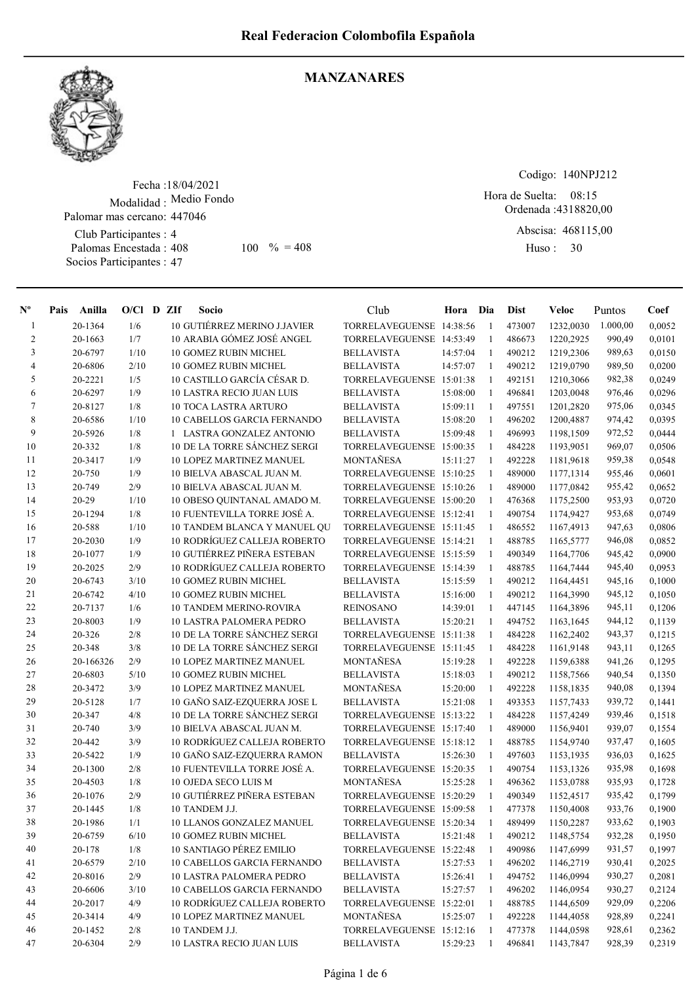

#### MANZANARES

Fecha : 18/04/2021 Modalidad : Medio Fondo Palomar mas cercano: 447046

Club Participantes : 4 Palomas Encestada : Socios Participantes : 47 408 100 % = 408 Huso: 30

Codigo: 140NPJ212

Ordenada : 4318820,00 Hora de Suelta: 08:15

Abscisa: 468115,00 Huso: 30

| $N^{\circ}$    | Pais | Anilla    | $O/C1$ D ZIf |  | Socio                              |                              | Club                     | Hora     | Dia          | <b>Dist</b> | Veloc     | Puntos   | Coef   |
|----------------|------|-----------|--------------|--|------------------------------------|------------------------------|--------------------------|----------|--------------|-------------|-----------|----------|--------|
| 1              |      | 20-1364   | 1/6          |  | 10 GUTIÉRREZ MERINO J.JAVIER       |                              | TORRELAVEGUENSE 14:38:56 |          | 1            | 473007      | 1232,0030 | 1.000,00 | 0,0052 |
| $\overline{2}$ |      | 20-1663   | 1/7          |  | 10 ARABIA GÓMEZ JOSÉ ANGEL         |                              | TORRELAVEGUENSE 14:53:49 |          | $\mathbf{1}$ | 486673      | 1220,2925 | 990,49   | 0,0101 |
| $\overline{3}$ |      | 20-6797   | 1/10         |  | <b>10 GOMEZ RUBIN MICHEL</b>       |                              | <b>BELLAVISTA</b>        | 14:57:04 | 1            | 490212      | 1219,2306 | 989,63   | 0,0150 |
| 4              |      | 20-6806   | 2/10         |  | 10 GOMEZ RUBIN MICHEL              |                              | <b>BELLAVISTA</b>        | 14:57:07 | 1            | 490212      | 1219,0790 | 989,50   | 0,0200 |
| 5              |      | 20-2221   | 1/5          |  | 10 CASTILLO GARCÍA CÉSAR D.        |                              | TORRELAVEGUENSE 15:01:38 |          | 1            | 492151      | 1210,3066 | 982,38   | 0,0249 |
| 6              |      | 20-6297   | 1/9          |  | <b>10 LASTRA RECIO JUAN LUIS</b>   |                              | <b>BELLAVISTA</b>        | 15:08:00 | $\mathbf{1}$ | 496841      | 1203,0048 | 976,46   | 0,0296 |
| $\tau$         |      | 20-8127   | 1/8          |  | 10 TOCA LASTRA ARTURO              |                              | <b>BELLAVISTA</b>        | 15:09:11 | 1            | 497551      | 1201,2820 | 975,06   | 0,0345 |
| 8              |      | 20-6586   | 1/10         |  | <b>10 CABELLOS GARCIA FERNANDO</b> |                              | <b>BELLAVISTA</b>        | 15:08:20 | $\mathbf{1}$ | 496202      | 1200,4887 | 974,42   | 0,0395 |
| 9              |      | 20-5926   | 1/8          |  | 1 LASTRA GONZALEZ ANTONIO          |                              | <b>BELLAVISTA</b>        | 15:09:48 | 1            | 496993      | 1198,1509 | 972,52   | 0,0444 |
| 10             |      | 20-332    | 1/8          |  | 10 DE LA TORRE SÁNCHEZ SERGI       |                              | TORRELAVEGUENSE 15:00:35 |          | 1            | 484228      | 1193,9051 | 969,07   | 0,0506 |
| 11             |      | 20-3417   | 1/9          |  | <b>10 LOPEZ MARTINEZ MANUEL</b>    |                              | MONTAÑESA                | 15:11:27 | 1            | 492228      | 1181,9618 | 959,38   | 0,0548 |
| 12             |      | 20-750    | 1/9          |  | 10 BIELVA ABASCAL JUAN M.          |                              | TORRELAVEGUENSE 15:10:25 |          | 1            | 489000      | 1177,1314 | 955,46   | 0,0601 |
| 13             |      | 20-749    | 2/9          |  | 10 BIELVA ABASCAL JUAN M.          |                              | TORRELAVEGUENSE 15:10:26 |          | 1            | 489000      | 1177,0842 | 955,42   | 0,0652 |
| 14             |      | $20 - 29$ | 1/10         |  | 10 OBESO QUINTANAL AMADO M.        |                              | TORRELAVEGUENSE 15:00:20 |          | 1            | 476368      | 1175,2500 | 953,93   | 0,0720 |
| 15             |      | 20-1294   | 1/8          |  | 10 FUENTEVILLA TORRE JOSÉ A.       |                              | TORRELAVEGUENSE 15:12:41 |          | 1            | 490754      | 1174,9427 | 953,68   | 0,0749 |
| 16             |      | 20-588    | 1/10         |  |                                    | 10 TANDEM BLANCA Y MANUEL QU | TORRELAVEGUENSE 15:11:45 |          | 1            | 486552      | 1167,4913 | 947,63   | 0,0806 |
| 17             |      | 20-2030   | 1/9          |  | 10 RODRÍGUEZ CALLEJA ROBERTO       |                              | TORRELAVEGUENSE 15:14:21 |          | 1            | 488785      | 1165,5777 | 946,08   | 0,0852 |
| 18             |      | 20-1077   | 1/9          |  | 10 GUTIÉRREZ PIÑERA ESTEBAN        |                              | TORRELAVEGUENSE 15:15:59 |          | 1            | 490349      | 1164,7706 | 945,42   | 0,0900 |
| 19             |      | 20-2025   | 2/9          |  | 10 RODRÍGUEZ CALLEJA ROBERTO       |                              | TORRELAVEGUENSE 15:14:39 |          | $\mathbf{1}$ | 488785      | 1164,7444 | 945,40   | 0,0953 |
| 20             |      | 20-6743   | 3/10         |  | <b>10 GOMEZ RUBIN MICHEL</b>       |                              | <b>BELLAVISTA</b>        | 15:15:59 | $\mathbf{1}$ | 490212      | 1164,4451 | 945,16   | 0,1000 |
| 21             |      | 20-6742   | 4/10         |  | <b>10 GOMEZ RUBIN MICHEL</b>       |                              | <b>BELLAVISTA</b>        | 15:16:00 | 1            | 490212      | 1164,3990 | 945,12   | 0,1050 |
| 22             |      | 20-7137   | 1/6          |  | <b>10 TANDEM MERINO-ROVIRA</b>     |                              | <b>REINOSANO</b>         | 14:39:01 | 1            | 447145      | 1164,3896 | 945,11   | 0,1206 |
| 23             |      | 20-8003   | 1/9          |  | <b>10 LASTRA PALOMERA PEDRO</b>    |                              | <b>BELLAVISTA</b>        | 15:20:21 | 1            | 494752      | 1163,1645 | 944,12   | 0,1139 |
| 24             |      | 20-326    | 2/8          |  | 10 DE LA TORRE SÁNCHEZ SERGI       |                              | TORRELAVEGUENSE 15:11:38 |          | 1            | 484228      | 1162,2402 | 943,37   | 0,1215 |
| 25             |      | 20-348    | 3/8          |  | 10 DE LA TORRE SÁNCHEZ SERGI       |                              | TORRELAVEGUENSE 15:11:45 |          | 1            | 484228      | 1161,9148 | 943,11   | 0,1265 |
| 26             |      | 20-166326 | 2/9          |  | <b>10 LOPEZ MARTINEZ MANUEL</b>    |                              | MONTAÑESA                | 15:19:28 | $\mathbf{1}$ | 492228      | 1159,6388 | 941,26   | 0,1295 |
| 27             |      | 20-6803   | 5/10         |  | <b>10 GOMEZ RUBIN MICHEL</b>       |                              | <b>BELLAVISTA</b>        | 15:18:03 | $\mathbf{1}$ | 490212      | 1158,7566 | 940,54   | 0,1350 |
| 28             |      | 20-3472   | 3/9          |  | 10 LOPEZ MARTINEZ MANUEL           |                              | MONTAÑESA                | 15:20:00 | 1            | 492228      | 1158,1835 | 940,08   | 0,1394 |
| 29             |      | 20-5128   | 1/7          |  | 10 GAÑO SAIZ-EZQUERRA JOSE L       |                              | <b>BELLAVISTA</b>        | 15:21:08 | $\mathbf{1}$ | 493353      | 1157,7433 | 939,72   | 0,1441 |
| 30             |      | 20-347    | 4/8          |  | 10 DE LA TORRE SÁNCHEZ SERGI       |                              | TORRELAVEGUENSE 15:13:22 |          | 1            | 484228      | 1157,4249 | 939,46   | 0,1518 |
| 31             |      | 20-740    | 3/9          |  | 10 BIELVA ABASCAL JUAN M.          |                              | TORRELAVEGUENSE 15:17:40 |          | $\mathbf{1}$ | 489000      | 1156,9401 | 939,07   | 0,1554 |
| 32             |      | 20-442    | 3/9          |  | 10 RODRÍGUEZ CALLEJA ROBERTO       |                              | TORRELAVEGUENSE 15:18:12 |          | 1            | 488785      | 1154,9740 | 937,47   | 0,1605 |
| 33             |      | 20-5422   | 1/9          |  | 10 GAÑO SAIZ-EZQUERRA RAMON        |                              | <b>BELLAVISTA</b>        | 15:26:30 | 1            | 497603      | 1153,1935 | 936,03   | 0,1625 |
| 34             |      | 20-1300   | 2/8          |  | 10 FUENTEVILLA TORRE JOSÉ A.       |                              | TORRELAVEGUENSE 15:20:35 |          | 1            | 490754      | 1153,1326 | 935,98   | 0,1698 |
| 35             |      | 20-4503   | 1/8          |  | 10 OJEDA SECO LUIS M               |                              | MONTAÑESA                | 15:25:28 | 1            | 496362      | 1153,0788 | 935,93   | 0,1728 |
| 36             |      | 20-1076   | 2/9          |  | 10 GUTIÉRREZ PIÑERA ESTEBAN        |                              | TORRELAVEGUENSE 15:20:29 |          | 1            | 490349      | 1152,4517 | 935,42   | 0,1799 |
| 37             |      | 20-1445   | 1/8          |  | 10 TANDEM J.J.                     |                              | TORRELAVEGUENSE 15:09:58 |          | 1            | 477378      | 1150,4008 | 933,76   | 0,1900 |
| 38             |      | 20-1986   | 1/1          |  | 10 LLANOS GONZALEZ MANUEL          |                              | TORRELAVEGUENSE 15:20:34 |          | $\mathbf{1}$ | 489499      | 1150,2287 | 933,62   | 0,1903 |
| 39             |      | 20-6759   | 6/10         |  | <b>10 GOMEZ RUBIN MICHEL</b>       |                              | <b>BELLAVISTA</b>        | 15:21:48 | 1            | 490212      | 1148,5754 | 932,28   | 0,1950 |
| 40             |      | 20-178    | 1/8          |  | 10 SANTIAGO PÉREZ EMILIO           |                              | TORRELAVEGUENSE 15:22:48 |          | 1            | 490986      | 1147,6999 | 931,57   | 0,1997 |
| 41             |      | 20-6579   | 2/10         |  | 10 CABELLOS GARCIA FERNANDO        |                              | <b>BELLAVISTA</b>        | 15:27:53 | 1            | 496202      | 1146,2719 | 930,41   | 0,2025 |
| 42             |      | 20-8016   | 2/9          |  | 10 LASTRA PALOMERA PEDRO           |                              | <b>BELLAVISTA</b>        | 15:26:41 | 1            | 494752      | 1146,0994 | 930,27   | 0,2081 |
| 43             |      | 20-6606   | 3/10         |  | <b>10 CABELLOS GARCIA FERNANDO</b> |                              | <b>BELLAVISTA</b>        | 15:27:57 | $\mathbf{1}$ | 496202      | 1146,0954 | 930,27   | 0,2124 |
| 44             |      | 20-2017   | 4/9          |  | 10 RODRÍGUEZ CALLEJA ROBERTO       |                              | TORRELAVEGUENSE 15:22:01 |          | 1            | 488785      | 1144,6509 | 929,09   | 0,2206 |
| 45             |      | 20-3414   | 4/9          |  | 10 LOPEZ MARTINEZ MANUEL           |                              | MONTAÑESA                | 15:25:07 | 1            | 492228      | 1144,4058 | 928,89   | 0,2241 |
| 46             |      | 20-1452   | 2/8          |  | 10 TANDEM J.J.                     |                              | TORRELAVEGUENSE 15:12:16 |          | 1            | 477378      | 1144,0598 | 928,61   | 0,2362 |
| 47             |      | 20-6304   | 2/9          |  | <b>10 LASTRA RECIO JUAN LUIS</b>   |                              | <b>BELLAVISTA</b>        | 15:29:23 | 1            | 496841      | 1143,7847 | 928,39   | 0,2319 |
|                |      |           |              |  |                                    |                              |                          |          |              |             |           |          |        |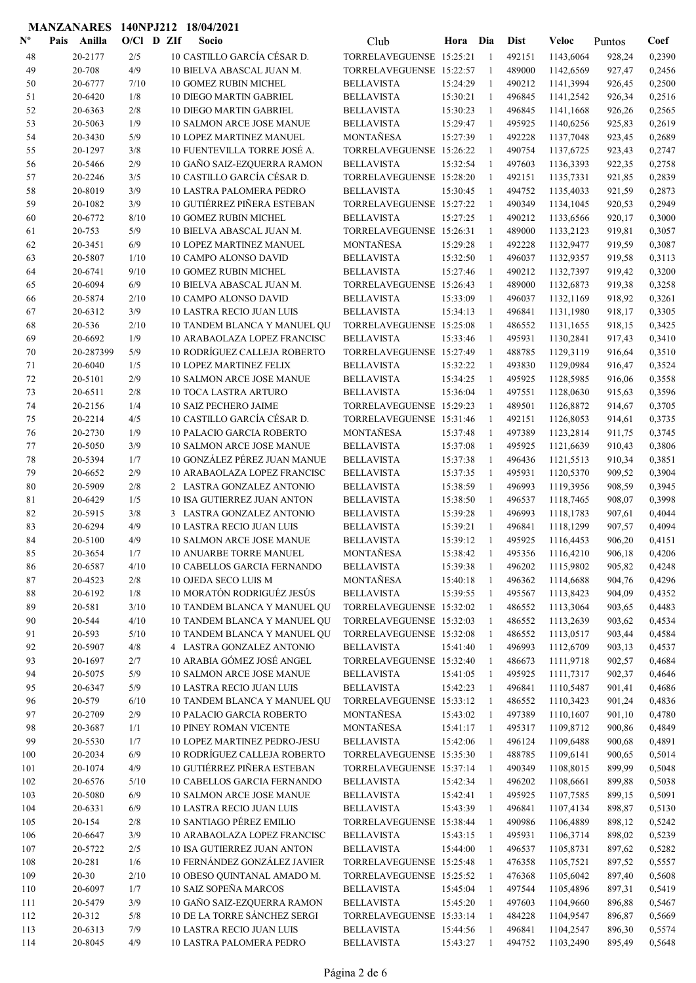| $\mathbf{N}^{\mathbf{o}}$ | Pais | Anilla              | $O/C1$ D ZIf |  | Socio                                                                 | Club                                                 | Hora                 | Dia                | <b>Dist</b>      | Veloc                  | Puntos           | Coef             |
|---------------------------|------|---------------------|--------------|--|-----------------------------------------------------------------------|------------------------------------------------------|----------------------|--------------------|------------------|------------------------|------------------|------------------|
| 48                        |      | 20-2177             | 2/5          |  | 10 CASTILLO GARCÍA CÉSAR D.                                           | TORRELAVEGUENSE 15:25:21                             |                      | -1                 | 492151           | 1143,6064              | 928,24           | 0,2390           |
| 49                        |      | 20-708              | 4/9          |  | 10 BIELVA ABASCAL JUAN M.                                             | TORRELAVEGUENSE 15:22:57                             |                      | -1                 | 489000           | 1142,6569              | 927,47           | 0,2456           |
| 50                        |      | 20-6777             | 7/10         |  | 10 GOMEZ RUBIN MICHEL                                                 | <b>BELLAVISTA</b>                                    | 15:24:29             | -1                 | 490212           | 1141,3994              | 926,45           | 0,2500           |
| 51                        |      | 20-6420             | 1/8          |  | <b>10 DIEGO MARTIN GABRIEL</b>                                        | <b>BELLAVISTA</b>                                    | 15:30:21             | -1                 | 496845           | 1141,2542              | 926,34           | 0,2516           |
| 52                        |      | 20-6363             | 2/8          |  | <b>10 DIEGO MARTIN GABRIEL</b>                                        | <b>BELLAVISTA</b>                                    | 15:30:23             | $\mathbf{1}$       | 496845           | 1141,1668              | 926,26           | 0,2565           |
| 53                        |      | 20-5063             | 1/9          |  | <b>10 SALMON ARCE JOSE MANUE</b>                                      | <b>BELLAVISTA</b>                                    | 15:29:47             | -1                 | 495925           | 1140,6256              | 925,83           | 0,2619           |
| 54                        |      | 20-3430             | 5/9          |  | <b>10 LOPEZ MARTINEZ MANUEL</b>                                       | MONTAÑESA                                            | 15:27:39             | -1                 | 492228           | 1137,7048              | 923,45           | 0,2689           |
| 55                        |      | 20-1297             | 3/8          |  | 10 FUENTEVILLA TORRE JOSÉ A.                                          | TORRELAVEGUENSE 15:26:22                             |                      | 1                  | 490754           | 1137,6725              | 923,43           | 0,2747           |
| 56                        |      | 20-5466             | 2/9          |  | 10 GAÑO SAIZ-EZQUERRA RAMON                                           | <b>BELLAVISTA</b>                                    | 15:32:54             | 1                  | 497603           | 1136,3393              | 922,35           | 0,2758           |
| 57                        |      | 20-2246             | 3/5          |  | 10 CASTILLO GARCÍA CÉSAR D.                                           | TORRELAVEGUENSE 15:28:20                             |                      | 1                  | 492151           | 1135,7331              | 921,85           | 0,2839           |
| 58                        |      | 20-8019             | 3/9          |  | <b>10 LASTRA PALOMERA PEDRO</b><br><b>10 GUTIÉRREZ PIÑERA ESTEBAN</b> | <b>BELLAVISTA</b><br>TORRELAVEGUENSE 15:27:22        | 15:30:45             | -1                 | 494752<br>490349 | 1135,4033              | 921,59           | 0,2873           |
| 59                        |      | 20-1082             | 3/9          |  |                                                                       |                                                      |                      | 1                  |                  | 1134,1045              | 920,53           | 0,2949           |
| 60<br>61                  |      | 20-6772<br>20-753   | 8/10<br>5/9  |  | <b>10 GOMEZ RUBIN MICHEL</b><br>10 BIELVA ABASCAL JUAN M.             | <b>BELLAVISTA</b><br>TORRELAVEGUENSE 15:26:31        | 15:27:25             | 1<br>$\mathbf{1}$  | 490212<br>489000 | 1133,6566<br>1133,2123 | 920,17<br>919,81 | 0,3000<br>0,3057 |
| 62                        |      | 20-3451             | 6/9          |  | 10 LOPEZ MARTINEZ MANUEL                                              | MONTAÑESA                                            | 15:29:28             | $\mathbf{1}$       | 492228           | 1132,9477              | 919,59           | 0,3087           |
| 63                        |      | 20-5807             | 1/10         |  | 10 CAMPO ALONSO DAVID                                                 | <b>BELLAVISTA</b>                                    | 15:32:50             | -1                 | 496037           | 1132,9357              | 919,58           | 0,3113           |
| 64                        |      | 20-6741             | 9/10         |  | <b>10 GOMEZ RUBIN MICHEL</b>                                          | <b>BELLAVISTA</b>                                    | 15:27:46             | $\mathbf{1}$       | 490212           | 1132,7397              | 919,42           | 0,3200           |
| 65                        |      | 20-6094             | 6/9          |  | 10 BIELVA ABASCAL JUAN M.                                             | TORRELAVEGUENSE 15:26:43                             |                      | $\mathbf{1}$       | 489000           | 1132,6873              | 919,38           | 0,3258           |
| 66                        |      | 20-5874             | 2/10         |  | <b>10 CAMPO ALONSO DAVID</b>                                          | <b>BELLAVISTA</b>                                    | 15:33:09             | -1                 | 496037           | 1132,1169              | 918,92           | 0,3261           |
| 67                        |      | 20-6312             | 3/9          |  | <b>10 LASTRA RECIO JUAN LUIS</b>                                      | <b>BELLAVISTA</b>                                    | 15:34:13             | -1                 | 496841           | 1131,1980              | 918,17           | 0,3305           |
| 68                        |      | 20-536              | 2/10         |  | 10 TANDEM BLANCA Y MANUEL QU                                          | TORRELAVEGUENSE 15:25:08                             |                      | 1                  | 486552           | 1131,1655              | 918,15           | 0,3425           |
| 69                        |      | 20-6692             | 1/9          |  | 10 ARABAOLAZA LOPEZ FRANCISC                                          | <b>BELLAVISTA</b>                                    | 15:33:46             | 1                  | 495931           | 1130,2841              | 917,43           | 0,3410           |
| 70                        |      | 20-287399           | 5/9          |  | 10 RODRÍGUEZ CALLEJA ROBERTO                                          | TORRELAVEGUENSE 15:27:49                             |                      | -1                 | 488785           | 1129,3119              | 916,64           | 0,3510           |
| 71                        |      | 20-6040             | 1/5          |  | <b>10 LOPEZ MARTINEZ FELIX</b>                                        | <b>BELLAVISTA</b>                                    | 15:32:22             | -1                 | 493830           | 1129,0984              | 916,47           | 0,3524           |
| 72                        |      | 20-5101             | 2/9          |  | <b>10 SALMON ARCE JOSE MANUE</b>                                      | <b>BELLAVISTA</b>                                    | 15:34:25             | 1                  | 495925           | 1128,5985              | 916,06           | 0,3558           |
| 73                        |      | 20-6511             | 2/8          |  | 10 TOCA LASTRA ARTURO                                                 | <b>BELLAVISTA</b>                                    | 15:36:04             | -1                 | 497551           | 1128,0630              | 915,63           | 0,3596           |
| 74                        |      | 20-2156             | 1/4          |  | <b>10 SAIZ PECHERO JAIME</b>                                          | TORRELAVEGUENSE 15:29:23                             |                      | -1                 | 489501           | 1126,8872              | 914,67           | 0,3705           |
| 75                        |      | 20-2214             | 4/5          |  | 10 CASTILLO GARCÍA CÉSAR D.                                           | TORRELAVEGUENSE 15:31:46                             |                      | -1                 | 492151           | 1126,8053              | 914,61           | 0,3735           |
| 76                        |      | 20-2730             | 1/9          |  | <b>10 PALACIO GARCIA ROBERTO</b>                                      | MONTAÑESA                                            | 15:37:48             | -1                 | 497389           | 1123,2814              | 911,75           | 0,3745           |
| 77                        |      | 20-5050             | 3/9          |  | <b>10 SALMON ARCE JOSE MANUE</b>                                      | <b>BELLAVISTA</b>                                    | 15:37:08             | -1                 | 495925           | 1121,6639              | 910,43           | 0,3806           |
| 78                        |      | 20-5394             | 1/7          |  | 10 GONZÁLEZ PÉREZ JUAN MANUE                                          | <b>BELLAVISTA</b>                                    | 15:37:38             | -1                 | 496436           | 1121,5513              | 910,34           | 0,3851           |
| 79                        |      | 20-6652             | 2/9          |  | 10 ARABAOLAZA LOPEZ FRANCISC                                          | <b>BELLAVISTA</b>                                    | 15:37:35             | -1                 | 495931           | 1120,5370              | 909,52           | 0,3904           |
| 80                        |      | 20-5909             | 2/8          |  | 2 LASTRA GONZALEZ ANTONIO                                             | <b>BELLAVISTA</b>                                    | 15:38:59             | $\mathbf{1}$       | 496993           | 1119,3956              | 908,59           | 0,3945           |
| 81                        |      | 20-6429             | 1/5          |  | 10 ISA GUTIERREZ JUAN ANTON                                           | <b>BELLAVISTA</b>                                    | 15:38:50             | 1                  | 496537           | 1118,7465              | 908,07           | 0,3998           |
| 82                        |      | 20-5915             | 3/8          |  | 3 LASTRA GONZALEZ ANTONIO                                             | <b>BELLAVISTA</b>                                    | 15:39:28             | -1                 | 496993           | 1118,1783              | 907,61           | 0,4044           |
| 83                        |      | 20-6294             | 4/9          |  | <b>10 LASTRA RECIO JUAN LUIS</b>                                      | <b>BELLAVISTA</b>                                    | 15:39:21             | $\mathbf{1}$       | 496841           | 1118,1299              | 907,57           | 0,4094           |
| 84                        |      | 20-5100             | 4/9          |  | <b>10 SALMON ARCE JOSE MANUE</b>                                      | <b>BELLAVISTA</b>                                    | 15:39:12             | -1<br>1            | 495925           | 1116,4453              | 906,20           | 0,4151           |
| 85                        |      | 20-3654<br>20-6587  | 1/7<br>4/10  |  | 10 ANUARBE TORRE MANUEL<br>10 CABELLOS GARCIA FERNANDO                | MONTAÑESA<br><b>BELLAVISTA</b>                       | 15:38:42<br>15:39:38 | 1                  | 495356<br>496202 | 1116,4210<br>1115,9802 | 906,18<br>905,82 | 0,4206<br>0,4248 |
| 86<br>87                  |      | 20-4523             | 2/8          |  | 10 OJEDA SECO LUIS M                                                  | <b>MONTAÑESA</b>                                     | 15:40:18             | -1                 | 496362           | 1114,6688              | 904,76           | 0,4296           |
| 88                        |      | 20-6192             | $1/8$        |  | 10 MORATÓN RODRIGUÉZ JESÚS                                            | <b>BELLAVISTA</b>                                    | 15:39:55             | -1                 | 495567           | 1113,8423              | 904,09           | 0,4352           |
| 89                        |      | 20-581              | 3/10         |  | 10 TANDEM BLANCA Y MANUEL QU                                          | TORRELAVEGUENSE 15:32:02                             |                      | -1                 | 486552           | 1113,3064              | 903,65           | 0,4483           |
| 90                        |      | 20-544              | 4/10         |  | 10 TANDEM BLANCA Y MANUEL QU                                          | TORRELAVEGUENSE 15:32:03                             |                      | $\mathbf{1}$       | 486552           | 1113,2639              | 903,62           | 0,4534           |
| 91                        |      | 20-593              | 5/10         |  | 10 TANDEM BLANCA Y MANUEL QU                                          | TORRELAVEGUENSE 15:32:08                             |                      | 1                  | 486552           | 1113,0517              | 903,44           | 0,4584           |
| 92                        |      | 20-5907             | $4/8$        |  | 4 LASTRA GONZALEZ ANTONIO                                             | <b>BELLAVISTA</b>                                    | 15:41:40             | 1                  | 496993           | 1112,6709              | 903,13           | 0,4537           |
| 93                        |      | 20-1697             | 2/7          |  | 10 ARABIA GÓMEZ JOSÉ ANGEL                                            | TORRELAVEGUENSE 15:32:40                             |                      | 1                  | 486673           | 1111,9718              | 902,57           | 0,4684           |
| 94                        |      | 20-5075             | 5/9          |  | 10 SALMON ARCE JOSE MANUE                                             | <b>BELLAVISTA</b>                                    | 15:41:05             | -1                 | 495925           | 1111,7317              | 902,37           | 0,4646           |
| 95                        |      | 20-6347             | $5/9$        |  | <b>10 LASTRA RECIO JUAN LUIS</b>                                      | <b>BELLAVISTA</b>                                    | 15:42:23             | -1                 | 496841           | 1110,5487              | 901,41           | 0,4686           |
| 96                        |      | 20-579              | 6/10         |  | 10 TANDEM BLANCA Y MANUEL QU                                          | TORRELAVEGUENSE 15:33:12                             |                      | -1                 | 486552           | 1110,3423              | 901,24           | 0,4836           |
| 97                        |      | 20-2709             | $2/9$        |  | 10 PALACIO GARCIA ROBERTO                                             | MONTAÑESA                                            | 15:43:02             | 1                  | 497389           | 1110,1607              | 901,10           | 0,4780           |
| 98                        |      | 20-3687             | 1/1          |  | <b>10 PINEY ROMAN VICENTE</b>                                         | MONTAÑESA                                            | 15:41:17             | -1                 | 495317           | 1109,8712              | 900,86           | 0,4849           |
| 99                        |      | 20-5530             | 1/7          |  | 10 LOPEZ MARTINEZ PEDRO-JESU                                          | <b>BELLAVISTA</b>                                    | 15:42:06             | -1                 | 496124           | 1109,6488              | 900,68           | 0,4891           |
| 100                       |      | 20-2034             | $6/9$        |  | 10 RODRÍGUEZ CALLEJA ROBERTO                                          | TORRELAVEGUENSE 15:35:30                             |                      | -1                 | 488785           | 1109,6141              | 900,65           | 0,5014           |
| 101                       |      | 20-1074             | 4/9          |  | 10 GUTIÉRREZ PIÑERA ESTEBAN                                           | TORRELAVEGUENSE 15:37:14                             |                      | -1                 | 490349           | 1108,8015              | 899,99           | 0,5048           |
| 102                       |      | 20-6576             | 5/10         |  | <b>10 CABELLOS GARCIA FERNANDO</b>                                    | <b>BELLAVISTA</b>                                    | 15:42:34             | -1                 | 496202           | 1108,6661              | 899,88           | 0,5038           |
| 103                       |      | 20-5080             | 6/9          |  | 10 SALMON ARCE JOSE MANUE                                             | <b>BELLAVISTA</b>                                    | 15:42:41             | -1                 | 495925           | 1107,7585              | 899,15           | 0,5091           |
| 104                       |      | 20-6331             | 6/9          |  | <b>10 LASTRA RECIO JUAN LUIS</b>                                      | <b>BELLAVISTA</b>                                    | 15:43:39             | 1                  | 496841           | 1107,4134              | 898,87           | 0,5130           |
| 105                       |      | 20-154              | 2/8          |  | 10 SANTIAGO PÉREZ EMILIO                                              | TORRELAVEGUENSE 15:38:44                             |                      | 1                  | 490986           | 1106,4889              | 898,12           | 0,5242           |
| 106                       |      | 20-6647             | 3/9          |  | 10 ARABAOLAZA LOPEZ FRANCISC                                          | <b>BELLAVISTA</b>                                    | 15:43:15             | -1                 | 495931           | 1106,3714              | 898,02           | 0,5239           |
| 107                       |      | 20-5722             | 2/5          |  | 10 ISA GUTIERREZ JUAN ANTON<br>10 FERNÁNDEZ GONZÁLEZ JAVIER           | <b>BELLAVISTA</b>                                    | 15:44:00             | -1                 | 496537           | 1105,8731              | 897,62           | 0,5282           |
| 108<br>109                |      | 20-281<br>$20 - 30$ | 1/6<br>2/10  |  | 10 OBESO QUINTANAL AMADO M.                                           | TORRELAVEGUENSE 15:25:48<br>TORRELAVEGUENSE 15:25:52 |                      | -1<br>$\mathbf{1}$ | 476358<br>476368 | 1105,7521<br>1105,6042 | 897,52<br>897,40 | 0,5557<br>0,5608 |
| 110                       |      | 20-6097             | $1/7$        |  | 10 SAIZ SOPEÑA MARCOS                                                 | <b>BELLAVISTA</b>                                    | 15:45:04             | -1                 | 497544           | 1105,4896              | 897,31           | 0,5419           |
| 111                       |      | 20-5479             | 3/9          |  | 10 GAÑO SAIZ-EZQUERRA RAMON                                           | <b>BELLAVISTA</b>                                    | 15:45:20             | -1                 | 497603           | 1104,9660              | 896,88           | 0,5467           |
| 112                       |      | 20-312              | $5/8$        |  | 10 DE LA TORRE SÁNCHEZ SERGI                                          | TORRELAVEGUENSE 15:33:14                             |                      | -1                 | 484228           | 1104,9547              | 896,87           | 0,5669           |
| 113                       |      | 20-6313             | 7/9          |  | 10 LASTRA RECIO JUAN LUIS                                             | <b>BELLAVISTA</b>                                    | 15:44:56             | -1                 | 496841           | 1104,2547              | 896,30           | 0,5574           |
| 114                       |      | 20-8045             | 4/9          |  | <b>10 LASTRA PALOMERA PEDRO</b>                                       | <b>BELLAVISTA</b>                                    | 15:43:27             | -1                 | 494752           | 1103,2490              | 895,49           | 0,5648           |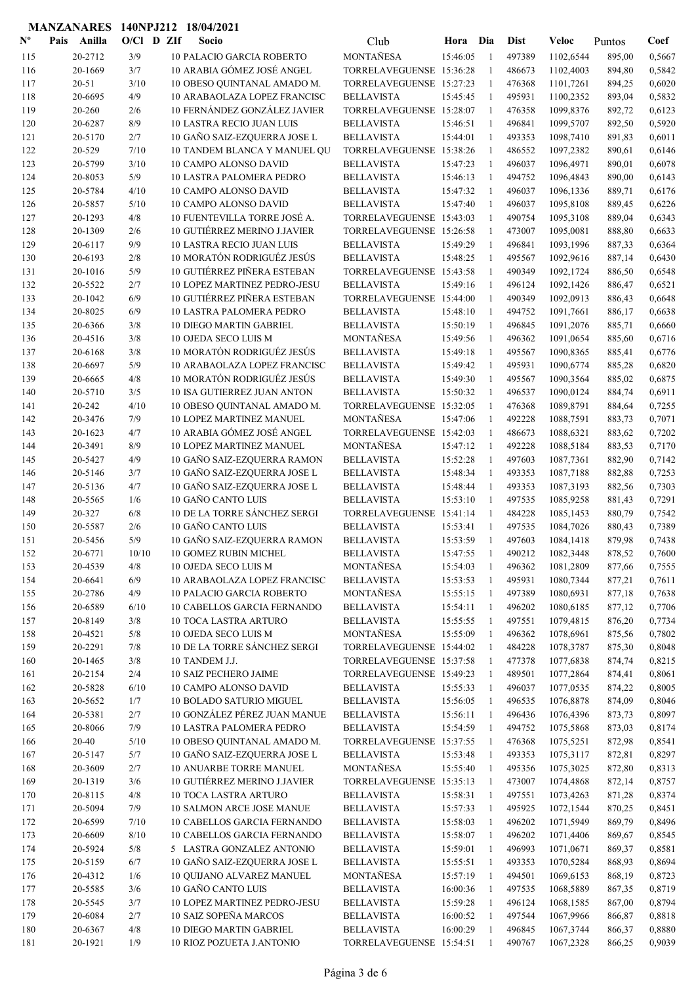|             | <b>MANZANARES</b>  |              | 140NPJ212 18/04/2021                                           |                                        |                      |                    |                  |                        |                  |                  |
|-------------|--------------------|--------------|----------------------------------------------------------------|----------------------------------------|----------------------|--------------------|------------------|------------------------|------------------|------------------|
| $N^{\circ}$ | Pais Anilla        | $O/Cl$ D ZIf | Socio                                                          | Club                                   | Hora                 | Dia                | <b>Dist</b>      | Veloc                  | Puntos           | Coef             |
| 115         | 20-2712            | 3/9          | <b>10 PALACIO GARCIA ROBERTO</b>                               | MONTAÑESA                              | 15:46:05             | -1                 | 497389           | 1102,6544              | 895,00           | 0,5667           |
| 116         | 20-1669            | 3/7          | 10 ARABIA GÓMEZ JOSÉ ANGEL                                     | TORRELAVEGUENSE 15:36:28               |                      | -1                 | 486673           | 1102,4003              | 894,80           | 0,5842           |
| 117         | $20 - 51$          | 3/10         | 10 OBESO QUINTANAL AMADO M.                                    | TORRELAVEGUENSE 15:27:23               |                      | -1                 | 476368           | 1101,7261              | 894,25           | 0,6020           |
| 118         | 20-6695            | 4/9          | 10 ARABAOLAZA LOPEZ FRANCISC                                   | <b>BELLAVISTA</b>                      | 15:45:45             | -1                 | 495931           | 1100,2352              | 893,04           | 0,5832           |
| 119         | 20-260             | 2/6          | 10 FERNÁNDEZ GONZÁLEZ JAVIER                                   | TORRELAVEGUENSE 15:28:07               |                      | $\overline{1}$     | 476358           | 1099,8376              | 892,72           | 0,6123           |
| 120         | 20-6287            | 8/9          | <b>10 LASTRA RECIO JUAN LUIS</b>                               | <b>BELLAVISTA</b>                      | 15:46:51             | -1                 | 496841           | 1099,5707              | 892,50           | 0,5920           |
| 121         | 20-5170            | 2/7          | 10 GAÑO SAIZ-EZQUERRA JOSE L                                   | <b>BELLAVISTA</b>                      | 15:44:01             | -1                 | 493353           | 1098,7410              | 891,83           | 0,6011           |
| 122         | 20-529             | 7/10         | 10 TANDEM BLANCA Y MANUEL QU                                   | TORRELAVEGUENSE 15:38:26               |                      | -1                 | 486552           | 1097,2382              | 890,61           | 0,6146           |
| 123         | 20-5799            | 3/10         | <b>10 CAMPO ALONSO DAVID</b>                                   | <b>BELLAVISTA</b>                      | 15:47:23             | -1                 | 496037           | 1096,4971              | 890,01           | 0,6078           |
| 124         | 20-8053            | 5/9          | <b>10 LASTRA PALOMERA PEDRO</b>                                | <b>BELLAVISTA</b>                      | 15:46:13             | -1                 | 494752           | 1096,4843              | 890,00           | 0,6143           |
| 125         | 20-5784            | 4/10         | 10 CAMPO ALONSO DAVID                                          | <b>BELLAVISTA</b>                      | 15:47:32             | $\mathbf{1}$       | 496037           | 1096,1336              | 889,71           | 0,6176           |
| 126         | 20-5857            | 5/10         | <b>10 CAMPO ALONSO DAVID</b>                                   | <b>BELLAVISTA</b>                      | 15:47:40             | $\mathbf{1}$       | 496037           | 1095,8108              | 889,45           | 0,6226           |
| 127         | 20-1293            | 4/8          | 10 FUENTEVILLA TORRE JOSÉ A.                                   | TORRELAVEGUENSE 15:43:03               |                      | 1                  | 490754           | 1095,3108              | 889,04           | 0,6343           |
| 128         | 20-1309            | 2/6          | 10 GUTIÉRREZ MERINO J.JAVIER                                   | TORRELAVEGUENSE 15:26:58               |                      | -1                 | 473007           | 1095,0081              | 888,80           | 0,6633           |
| 129         | 20-6117<br>20-6193 | 9/9<br>2/8   | <b>10 LASTRA RECIO JUAN LUIS</b><br>10 MORATÓN RODRIGUÉZ JESÚS | <b>BELLAVISTA</b><br><b>BELLAVISTA</b> | 15:49:29<br>15:48:25 | $\mathbf{1}$<br>-1 | 496841<br>495567 | 1093,1996<br>1092,9616 | 887,33           | 0,6364<br>0,6430 |
| 130<br>131  | 20-1016            | 5/9          | 10 GUTIÉRREZ PIÑERA ESTEBAN                                    | TORRELAVEGUENSE 15:43:58               |                      | $\mathbf{1}$       | 490349           | 1092,1724              | 887,14<br>886,50 | 0,6548           |
| 132         | 20-5522            | 2/7          | 10 LOPEZ MARTINEZ PEDRO-JESU                                   | <b>BELLAVISTA</b>                      | 15:49:16             | -1                 | 496124           | 1092,1426              | 886,47           | 0,6521           |
| 133         | 20-1042            | 6/9          | 10 GUTIÉRREZ PIÑERA ESTEBAN                                    | TORRELAVEGUENSE 15:44:00               |                      | $\mathbf{1}$       | 490349           | 1092,0913              | 886,43           | 0,6648           |
| 134         | 20-8025            | 6/9          | <b>10 LASTRA PALOMERA PEDRO</b>                                | <b>BELLAVISTA</b>                      | 15:48:10             | -1                 | 494752           | 1091,7661              | 886,17           | 0,6638           |
| 135         | 20-6366            | 3/8          | <b>10 DIEGO MARTIN GABRIEL</b>                                 | <b>BELLAVISTA</b>                      | 15:50:19             | -1                 | 496845           | 1091,2076              | 885,71           | 0,6660           |
| 136         | 20-4516            | 3/8          | 10 OJEDA SECO LUIS M                                           | <b>MONTAÑESA</b>                       | 15:49:56             | -1                 | 496362           | 1091,0654              | 885,60           | 0,6716           |
| 137         | 20-6168            | 3/8          | 10 MORATÓN RODRIGUÉZ JESÚS                                     | <b>BELLAVISTA</b>                      | 15:49:18             | 1                  | 495567           | 1090,8365              | 885,41           | 0,6776           |
| 138         | 20-6697            | 5/9          | 10 ARABAOLAZA LOPEZ FRANCISC                                   | <b>BELLAVISTA</b>                      | 15:49:42             | $\mathbf{1}$       | 495931           | 1090,6774              | 885,28           | 0,6820           |
| 139         | 20-6665            | 4/8          | 10 MORATÓN RODRIGUÉZ JESÚS                                     | <b>BELLAVISTA</b>                      | 15:49:30             | -1                 | 495567           | 1090,3564              | 885,02           | 0,6875           |
| 140         | 20-5710            | 3/5          | <b>10 ISA GUTIERREZ JUAN ANTON</b>                             | <b>BELLAVISTA</b>                      | 15:50:32             | -1                 | 496537           | 1090,0124              | 884,74           | 0,6911           |
| 141         | 20-242             | 4/10         | 10 OBESO QUINTANAL AMADO M.                                    | TORRELAVEGUENSE 15:32:05               |                      | -1                 | 476368           | 1089,8791              | 884,64           | 0,7255           |
| 142         | 20-3476            | 7/9          | <b>10 LOPEZ MARTINEZ MANUEL</b>                                | <b>MONTAÑESA</b>                       | 15:47:06             | 1                  | 492228           | 1088,7591              | 883,73           | 0,7071           |
| 143         | 20-1623            | 4/7          | 10 ARABIA GÓMEZ JOSÉ ANGEL                                     | TORRELAVEGUENSE 15:42:03               |                      | $\overline{1}$     | 486673           | 1088,6321              | 883,62           | 0,7202           |
| 144         | 20-3491            | 8/9          | 10 LOPEZ MARTINEZ MANUEL                                       | MONTAÑESA                              | 15:47:12             | $\mathbf{1}$       | 492228           | 1088,5184              | 883,53           | 0,7170           |
| 145         | 20-5427            | 4/9          | 10 GAÑO SAIZ-EZQUERRA RAMON                                    | <b>BELLAVISTA</b>                      | 15:52:28             | -1                 | 497603           | 1087,7361              | 882,90           | 0,7142           |
| 146         | 20-5146            | 3/7          | 10 GAÑO SAIZ-EZQUERRA JOSE L                                   | <b>BELLAVISTA</b>                      | 15:48:34             | -1                 | 493353           | 1087,7188              | 882,88           | 0,7253           |
| 147         | 20-5136            | 4/7          | 10 GAÑO SAIZ-EZQUERRA JOSE L                                   | <b>BELLAVISTA</b>                      | 15:48:44             | -1                 | 493353           | 1087,3193              | 882,56           | 0,7303           |
| 148         | 20-5565            | 1/6          | 10 GAÑO CANTO LUIS                                             | <b>BELLAVISTA</b>                      | 15:53:10             | $\mathbf{1}$       | 497535           | 1085,9258              | 881,43           | 0,7291           |
| 149         | 20-327             | 6/8          | 10 DE LA TORRE SÁNCHEZ SERGI                                   | TORRELAVEGUENSE 15:41:14               |                      | -1                 | 484228           | 1085,1453              | 880,79           | 0,7542           |
| 150         | 20-5587            | 2/6          | 10 GAÑO CANTO LUIS                                             | <b>BELLAVISTA</b>                      | 15:53:41             | 1                  | 497535           | 1084,7026              | 880,43           | 0,7389           |
| 151         | 20-5456            | 5/9          | 10 GAÑO SAIZ-EZQUERRA RAMON                                    | <b>BELLAVISTA</b>                      | 15:53:59<br>15:47:55 | 1                  | 497603           | 1084,1418              | 879,98           | 0,7438           |
| 152<br>153  | 20-6771<br>20-4539 | 10/10<br>4/8 | <b>10 GOMEZ RUBIN MICHEL</b><br>10 OJEDA SECO LUIS M           | <b>BELLAVISTA</b><br>MONTAÑESA         | 15:54:03             | $\mathbf{1}$<br>-1 | 490212<br>496362 | 1082,3448<br>1081,2809 | 878,52<br>877,66 | 0,7600<br>0,7555 |
| 154         | 20-6641            | 6/9          | 10 ARABAOLAZA LOPEZ FRANCISC                                   | <b>BELLAVISTA</b>                      | 15:53:53             | -1                 | 495931           | 1080,7344              | 877,21           | 0,7611           |
| 155         | 20-2786            | 4/9          | 10 PALACIO GARCIA ROBERTO                                      | MONTAÑESA                              | 15:55:15             | -1                 | 497389           | 1080,6931              | 877,18           | 0,7638           |
| 156         | 20-6589            | 6/10         | 10 CABELLOS GARCIA FERNANDO                                    | <b>BELLAVISTA</b>                      | 15:54:11             | -1                 | 496202           | 1080,6185              | 877,12           | 0,7706           |
| 157         | 20-8149            | 3/8          | <b>10 TOCA LASTRA ARTURO</b>                                   | <b>BELLAVISTA</b>                      | 15:55:55             | -1                 | 497551           | 1079,4815              | 876,20           | 0,7734           |
| 158         | 20-4521            | 5/8          | 10 OJEDA SECO LUIS M                                           | MONTAÑESA                              | 15:55:09             | -1                 | 496362           | 1078,6961              | 875,56           | 0,7802           |
| 159         | 20-2291            | 7/8          | 10 DE LA TORRE SÁNCHEZ SERGI                                   | TORRELAVEGUENSE 15:44:02               |                      | -1                 | 484228           | 1078,3787              | 875,30           | 0,8048           |
| 160         | 20-1465            | 3/8          | 10 TANDEM J.J.                                                 | TORRELAVEGUENSE 15:37:58               |                      | 1                  | 477378           | 1077,6838              | 874,74           | 0,8215           |
| 161         | 20-2154            | 2/4          | <b>10 SAIZ PECHERO JAIME</b>                                   | TORRELAVEGUENSE 15:49:23               |                      | -1                 | 489501           | 1077,2864              | 874,41           | 0,8061           |
| 162         | 20-5828            | 6/10         | 10 CAMPO ALONSO DAVID                                          | <b>BELLAVISTA</b>                      | 15:55:33             | -1                 | 496037           | 1077,0535              | 874,22           | 0,8005           |
| 163         | 20-5652            | 1/7          | 10 BOLADO SATURIO MIGUEL                                       | <b>BELLAVISTA</b>                      | 15:56:05             | 1                  | 496535           | 1076,8878              | 874,09           | 0,8046           |
| 164         | 20-5381            | 2/7          | 10 GONZÁLEZ PÉREZ JUAN MANUE                                   | <b>BELLAVISTA</b>                      | 15:56:11             | -1                 | 496436           | 1076,4396              | 873,73           | 0,8097           |
| 165         | 20-8066            | 7/9          | 10 LASTRA PALOMERA PEDRO                                       | <b>BELLAVISTA</b>                      | 15:54:59             | -1                 | 494752           | 1075,5868              | 873,03           | 0,8174           |
| 166         | 20-40              | 5/10         | 10 OBESO QUINTANAL AMADO M.                                    | TORRELAVEGUENSE 15:37:55               |                      | -1                 | 476368           | 1075,5251              | 872,98           | 0,8541           |
| 167         | 20-5147            | 5/7          | 10 GAÑO SAIZ-EZQUERRA JOSE L                                   | <b>BELLAVISTA</b>                      | 15:53:48             | -1                 | 493353           | 1075,3117              | 872,81           | 0,8297           |
| 168         | 20-3609            | $2/7$        | 10 ANUARBE TORRE MANUEL                                        | MONTAÑESA                              | 15:55:40             | -1                 | 495356           | 1075,3025              | 872,80           | 0,8313           |
| 169         | 20-1319            | 3/6          | 10 GUTIÉRREZ MERINO J.JAVIER                                   | TORRELAVEGUENSE 15:35:13               |                      | 1                  | 473007           | 1074,4868              | 872,14           | 0,8757           |
| 170         | 20-8115            | 4/8          | <b>10 TOCA LASTRA ARTURO</b>                                   | <b>BELLAVISTA</b>                      | 15:58:31             | -1                 | 497551           | 1073,4263              | 871,28           | 0,8374           |
| 171         | 20-5094            | 7/9          | 10 SALMON ARCE JOSE MANUE                                      | <b>BELLAVISTA</b>                      | 15:57:33             | -1                 | 495925           | 1072,1544              | 870,25           | 0,8451           |
| 172<br>173  | 20-6599<br>20-6609 | 7/10<br>8/10 | 10 CABELLOS GARCIA FERNANDO<br>10 CABELLOS GARCIA FERNANDO     | <b>BELLAVISTA</b><br><b>BELLAVISTA</b> | 15:58:03<br>15:58:07 | -1<br>-1           | 496202<br>496202 | 1071,5949<br>1071,4406 | 869,79<br>869,67 | 0,8496<br>0,8545 |
| 174         | 20-5924            | 5/8          | 5 LASTRA GONZALEZ ANTONIO                                      | <b>BELLAVISTA</b>                      | 15:59:01             | 1                  | 496993           | 1071,0671              | 869,37           | 0,8581           |
| 175         | 20-5159            | 6/7          | 10 GAÑO SAIZ-EZQUERRA JOSE L                                   | <b>BELLAVISTA</b>                      | 15:55:51             | -1                 | 493353           | 1070,5284              | 868,93           | 0,8694           |
| 176         | 20-4312            | 1/6          | 10 QUIJANO ALVAREZ MANUEL                                      | MONTAÑESA                              | 15:57:19             | -1                 | 494501           | 1069,6153              | 868,19           | 0,8723           |
| 177         | 20-5585            | 3/6          | 10 GAÑO CANTO LUIS                                             | <b>BELLAVISTA</b>                      | 16:00:36             | -1                 | 497535           | 1068,5889              | 867,35           | 0,8719           |
| 178         | 20-5545            | 3/7          | 10 LOPEZ MARTINEZ PEDRO-JESU                                   | <b>BELLAVISTA</b>                      | 15:59:28             | 1                  | 496124           | 1068,1585              | 867,00           | 0,8794           |
| 179         | 20-6084            | 2/7          | 10 SAIZ SOPEÑA MARCOS                                          | <b>BELLAVISTA</b>                      | 16:00:52             | -1                 | 497544           | 1067,9966              | 866,87           | 0,8818           |
| 180         | 20-6367            | 4/8          | <b>10 DIEGO MARTIN GABRIEL</b>                                 | <b>BELLAVISTA</b>                      | 16:00:29             | 1                  | 496845           | 1067,3744              | 866,37           | 0,8880           |
| 181         | 20-1921            | 1/9          | 10 RIOZ POZUETA J.ANTONIO                                      | TORRELAVEGUENSE 15:54:51               |                      | -1                 | 490767           | 1067,2328              | 866,25           | 0,9039           |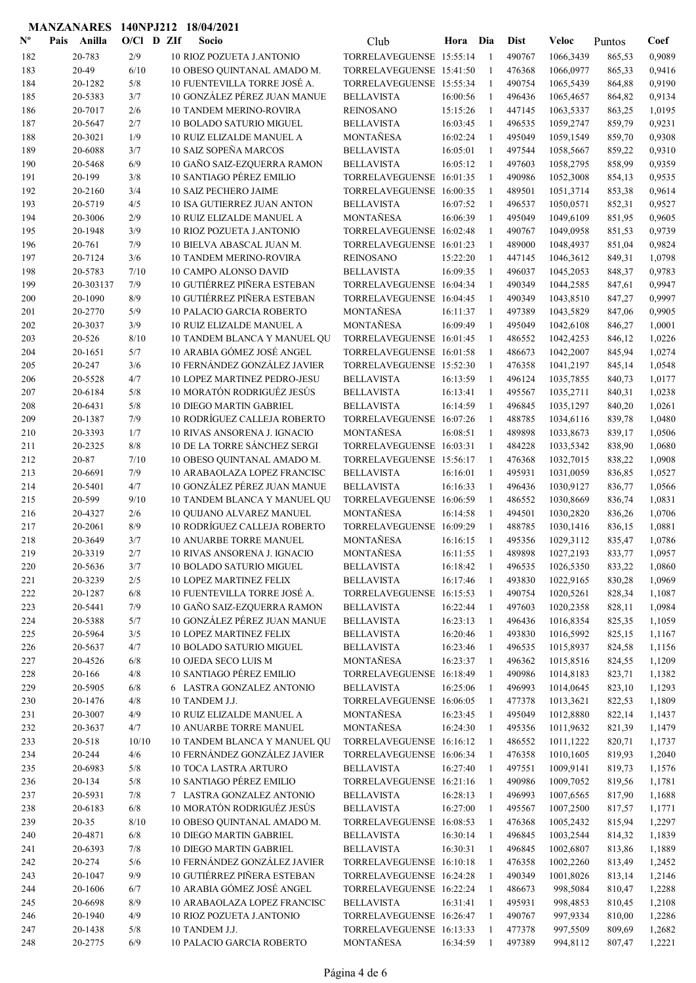| $N^{\text{o}}$ | Pais | Anilla    | $O/CI$ D ZIf |  | Socio                               | Club                     | Hora     | Dia            | <b>Dist</b> | <b>Veloc</b> | Puntos | Coef   |
|----------------|------|-----------|--------------|--|-------------------------------------|--------------------------|----------|----------------|-------------|--------------|--------|--------|
| 182            |      | 20-783    | 2/9          |  | <b>10 RIOZ POZUETA J.ANTONIO</b>    | TORRELAVEGUENSE 15:55:14 |          | $\overline{1}$ | 490767      | 1066,3439    | 865,53 | 0,9089 |
| 183            |      | 20-49     | 6/10         |  | 10 OBESO QUINTANAL AMADO M.         | TORRELAVEGUENSE 15:41:50 |          | $\mathbf{1}$   | 476368      | 1066,0977    | 865,33 | 0,9416 |
| 184            |      | 20-1282   | 5/8          |  | 10 FUENTEVILLA TORRE JOSÉ A.        | TORRELAVEGUENSE 15:55:34 |          | -1             | 490754      | 1065,5439    | 864,88 | 0,9190 |
| 185            |      | 20-5383   | 3/7          |  | 10 GONZÁLEZ PÉREZ JUAN MANUE        | <b>BELLAVISTA</b>        | 16:00:56 | -1             | 496436      | 1065,4657    | 864,82 | 0,9134 |
| 186            |      | 20-7017   | 2/6          |  | <b>10 TANDEM MERINO-ROVIRA</b>      | <b>REINOSANO</b>         | 15:15:26 | $\mathbf{1}$   | 447145      | 1063,5337    | 863,25 | 1,0195 |
| 187            |      | 20-5647   | 2/7          |  | <b>10 BOLADO SATURIO MIGUEL</b>     | <b>BELLAVISTA</b>        | 16:03:45 | -1             | 496535      | 1059,2747    | 859,79 | 0,9231 |
| 188            |      | 20-3021   | 1/9          |  | 10 RUIZ ELIZALDE MANUEL A           | MONTAÑESA                | 16:02:24 | 1              | 495049      | 1059,1549    | 859,70 | 0,9308 |
| 189            |      | 20-6088   | 3/7          |  | 10 SAIZ SOPEÑA MARCOS               | <b>BELLAVISTA</b>        | 16:05:01 | $\mathbf{1}$   | 497544      | 1058,5667    | 859,22 | 0,9310 |
| 190            |      | 20-5468   | 6/9          |  | 10 GAÑO SAIZ-EZQUERRA RAMON         | <b>BELLAVISTA</b>        | 16:05:12 | -1             | 497603      | 1058,2795    | 858,99 | 0,9359 |
| 191            |      | 20-199    | 3/8          |  | 10 SANTIAGO PÉREZ EMILIO            | TORRELAVEGUENSE 16:01:35 |          | -1             | 490986      | 1052,3008    | 854,13 | 0,9535 |
| 192            |      | 20-2160   | 3/4          |  | <b>10 SAIZ PECHERO JAIME</b>        | TORRELAVEGUENSE 16:00:35 |          | 1              | 489501      | 1051,3714    | 853,38 | 0,9614 |
| 193            |      | 20-5719   | 4/5          |  | <b>10 ISA GUTIERREZ JUAN ANTON</b>  | <b>BELLAVISTA</b>        | 16:07:52 | $\mathbf{1}$   | 496537      | 1050,0571    | 852,31 | 0,9527 |
| 194            |      | 20-3006   | 2/9          |  | 10 RUIZ ELIZALDE MANUEL A           | <b>MONTAÑESA</b>         | 16:06:39 | $\mathbf{1}$   | 495049      | 1049,6109    | 851,95 | 0,9605 |
| 195            |      | 20-1948   | 3/9          |  | 10 RIOZ POZUETA J.ANTONIO           | TORRELAVEGUENSE 16:02:48 |          | $\mathbf{1}$   | 490767      | 1049,0958    | 851,53 | 0,9739 |
| 196            |      | 20-761    | 7/9          |  | 10 BIELVA ABASCAL JUAN M.           | TORRELAVEGUENSE 16:01:23 |          | $\mathbf{1}$   | 489000      | 1048,4937    | 851,04 | 0,9824 |
| 197            |      | 20-7124   | 3/6          |  | <b>10 TANDEM MERINO-ROVIRA</b>      | <b>REINOSANO</b>         | 15:22:20 | -1             | 447145      | 1046,3612    | 849,31 | 1,0798 |
| 198            |      | 20-5783   | 7/10         |  | <b>10 CAMPO ALONSO DAVID</b>        | <b>BELLAVISTA</b>        | 16:09:35 | $\mathbf{1}$   | 496037      | 1045,2053    | 848,37 | 0,9783 |
| 199            |      | 20-303137 | 7/9          |  | 10 GUTIÉRREZ PIÑERA ESTEBAN         | TORRELAVEGUENSE 16:04:34 |          | 1              | 490349      | 1044,2585    | 847,61 | 0,9947 |
| 200            |      | 20-1090   | 8/9          |  | 10 GUTIÉRREZ PIÑERA ESTEBAN         | TORRELAVEGUENSE 16:04:45 |          | 1              | 490349      | 1043,8510    | 847,27 | 0,9997 |
| 201            |      | 20-2770   | 5/9          |  | <b>10 PALACIO GARCIA ROBERTO</b>    | MONTAÑESA                | 16:11:37 | 1              | 497389      | 1043,5829    | 847,06 | 0,9905 |
| 202            |      | 20-3037   | 3/9          |  | <b>10 RUIZ ELIZALDE MANUEL A</b>    | MONTAÑESA                | 16:09:49 | 1              | 495049      | 1042,6108    | 846,27 | 1,0001 |
| 203            |      | 20-526    | 8/10         |  | 10 TANDEM BLANCA Y MANUEL QU        | TORRELAVEGUENSE 16:01:45 |          | -1             | 486552      | 1042,4253    | 846,12 | 1,0226 |
| 204            |      | 20-1651   | 5/7          |  | 10 ARABIA GÓMEZ JOSÉ ANGEL          | TORRELAVEGUENSE 16:01:58 |          | $\mathbf{1}$   | 486673      | 1042,2007    | 845,94 | 1,0274 |
| 205            |      | 20-247    | 3/6          |  | 10 FERNÁNDEZ GONZÁLEZ JAVIER        | TORRELAVEGUENSE 15:52:30 |          | $\mathbf{1}$   | 476358      | 1041,2197    | 845,14 | 1,0548 |
| 206            |      | 20-5528   | 4/7          |  | <b>10 LOPEZ MARTINEZ PEDRO-JESU</b> | <b>BELLAVISTA</b>        | 16:13:59 | -1             | 496124      | 1035,7855    | 840,73 | 1,0177 |
| 207            |      | 20-6184   | 5/8          |  | 10 MORATÓN RODRIGUÉZ JESÚS          | <b>BELLAVISTA</b>        | 16:13:41 | $\mathbf{1}$   | 495567      | 1035,2711    | 840,31 | 1,0238 |
| 208            |      | 20-6431   | 5/8          |  | <b>10 DIEGO MARTIN GABRIEL</b>      | <b>BELLAVISTA</b>        | 16:14:59 | 1              | 496845      | 1035,1297    | 840,20 | 1,0261 |
| 209            |      | 20-1387   | 7/9          |  | 10 RODRÍGUEZ CALLEJA ROBERTO        | TORRELAVEGUENSE 16:07:26 |          | -1             | 488785      | 1034,6116    | 839,78 | 1,0480 |
| 210            |      | 20-3393   | 1/7          |  | 10 RIVAS ANSORENA J. IGNACIO        | MONTAÑESA                | 16:08:51 | $\mathbf{1}$   | 489898      | 1033,8673    | 839,17 | 1,0506 |
| 211            |      | 20-2325   | 8/8          |  | 10 DE LA TORRE SÁNCHEZ SERGI        | TORRELAVEGUENSE 16:03:31 |          | 1              | 484228      | 1033,5342    | 838,90 | 1,0680 |
| 212            |      | 20-87     | 7/10         |  | 10 OBESO QUINTANAL AMADO M.         | TORRELAVEGUENSE 15:56:17 |          | -1             | 476368      | 1032,7015    | 838,22 | 1,0908 |
| 213            |      | 20-6691   | 7/9          |  | 10 ARABAOLAZA LOPEZ FRANCISC        | <b>BELLAVISTA</b>        | 16:16:01 | 1              | 495931      | 1031,0059    | 836,85 | 1,0527 |
| 214            |      | 20-5401   | 4/7          |  | 10 GONZÁLEZ PÉREZ JUAN MANUE        | <b>BELLAVISTA</b>        | 16:16:33 | 1              | 496436      | 1030,9127    | 836,77 | 1,0566 |
| 215            |      | 20-599    | 9/10         |  | 10 TANDEM BLANCA Y MANUEL QU        | TORRELAVEGUENSE 16:06:59 |          | 1              | 486552      | 1030,8669    | 836,74 | 1,0831 |
| 216            |      | 20-4327   | 2/6          |  | 10 QUIJANO ALVAREZ MANUEL           | <b>MONTAÑESA</b>         | 16:14:58 | 1              | 494501      | 1030,2820    | 836,26 | 1,0706 |
| 217            |      | 20-2061   | 8/9          |  | 10 RODRÍGUEZ CALLEJA ROBERTO        | TORRELAVEGUENSE 16:09:29 |          | $\mathbf{1}$   | 488785      | 1030,1416    | 836,15 | 1,0881 |
| 218            |      | 20-3649   | 3/7          |  | <b>10 ANUARBE TORRE MANUEL</b>      | <b>MONTAÑESA</b>         | 16:16:15 | $\mathbf{1}$   | 495356      | 1029,3112    | 835,47 | 1,0786 |
| 219            |      | 20-3319   | 2/7          |  | 10 RIVAS ANSORENA J. IGNACIO        | MONTAÑESA                | 16:11:55 | $\mathbf{1}$   | 489898      | 1027,2193    | 833,77 | 1,0957 |
| 220            |      | 20-5636   | 3/7          |  | 10 BOLADO SATURIO MIGUEL            | <b>BELLAVISTA</b>        | 16:18:42 | -1             | 496535      | 1026,5350    | 833,22 | 1,0860 |
| 221            |      | 20-3239   | 2/5          |  | <b>10 LOPEZ MARTINEZ FELIX</b>      | <b>BELLAVISTA</b>        | 16:17:46 | $\mathbf{1}$   | 493830      | 1022,9165    | 830,28 | 1,0969 |
| 222            |      | 20-1287   | 6/8          |  | 10 FUENTEVILLA TORRE JOSÉ A.        | TORRELAVEGUENSE 16:15:53 |          | $\mathbf{1}$   | 490754      | 1020,5261    | 828,34 | 1,1087 |
| 223            |      | 20-5441   | 7/9          |  | 10 GAÑO SAIZ-EZQUERRA RAMON         | <b>BELLAVISTA</b>        | 16:22:44 | $\mathbf{1}$   | 497603      | 1020,2358    | 828,11 | 1,0984 |
| 224            |      | 20-5388   | 5/7          |  | 10 GONZÁLEZ PÉREZ JUAN MANUE        | <b>BELLAVISTA</b>        | 16:23:13 | $\mathbf{1}$   | 496436      | 1016,8354    | 825,35 | 1,1059 |
| 225            |      | 20-5964   | 3/5          |  | <b>10 LOPEZ MARTINEZ FELIX</b>      | <b>BELLAVISTA</b>        | 16:20:46 | -1             | 493830      | 1016,5992    | 825,15 | 1,1167 |
| 226            |      | 20-5637   | 4/7          |  | 10 BOLADO SATURIO MIGUEL            | <b>BELLAVISTA</b>        | 16:23:46 | -1             | 496535      | 1015,8937    | 824,58 | 1,1156 |
| 227            |      | 20-4526   | 6/8          |  | 10 OJEDA SECO LUIS M                | MONTAÑESA                | 16:23:37 | 1              | 496362      | 1015,8516    | 824,55 | 1,1209 |
| 228            |      | 20-166    | 4/8          |  | 10 SANTIAGO PÉREZ EMILIO            | TORRELAVEGUENSE 16:18:49 |          | 1              | 490986      | 1014,8183    | 823,71 | 1,1382 |
| 229            |      | 20-5905   | 6/8          |  | 6 LASTRA GONZALEZ ANTONIO           | <b>BELLAVISTA</b>        | 16:25:06 | 1              | 496993      | 1014,0645    | 823,10 | 1,1293 |
| 230            |      | 20-1476   | 4/8          |  | 10 TANDEM J.J.                      | TORRELAVEGUENSE 16:06:05 |          | 1              | 477378      | 1013,3621    | 822,53 | 1,1809 |
| 231            |      | 20-3007   | 4/9          |  | 10 RUIZ ELIZALDE MANUEL A           | MONTAÑESA                | 16:23:45 | -1             | 495049      | 1012,8880    | 822,14 | 1,1437 |
| 232            |      | 20-3637   | 4/7          |  | 10 ANUARBE TORRE MANUEL             | MONTAÑESA                | 16:24:30 | 1              | 495356      | 1011,9632    | 821,39 | 1,1479 |
| 233            |      | 20-518    | 10/10        |  | 10 TANDEM BLANCA Y MANUEL QU        | TORRELAVEGUENSE 16:16:12 |          | -1             | 486552      | 1011,1222    | 820,71 | 1,1737 |
| 234            |      | 20-244    | 4/6          |  | 10 FERNÁNDEZ GONZÁLEZ JAVIER        | TORRELAVEGUENSE 16:06:34 |          | $\mathbf{1}$   | 476358      | 1010,1605    | 819,93 | 1,2040 |
| 235            |      | 20-6983   | $5/8$        |  | <b>10 TOCA LASTRA ARTURO</b>        | <b>BELLAVISTA</b>        | 16:27:40 | $\mathbf{1}$   | 497551      | 1009,9141    | 819,73 | 1,1576 |
| 236            |      | 20-134    | 5/8          |  | <b>10 SANTIAGO PÉREZ EMILIO</b>     | TORRELAVEGUENSE 16:21:16 |          | $\mathbf{1}$   | 490986      | 1009,7052    | 819,56 | 1,1781 |
| 237            |      | 20-5931   | 7/8          |  | 7 LASTRA GONZALEZ ANTONIO           | <b>BELLAVISTA</b>        | 16:28:13 | -1             | 496993      | 1007,6565    | 817,90 | 1,1688 |
| 238            |      | 20-6183   | $6/8$        |  | 10 MORATÓN RODRIGUÉZ JESÚS          | <b>BELLAVISTA</b>        | 16:27:00 | 1              | 495567      | 1007,2500    | 817,57 | 1,1771 |
| 239            |      | $20 - 35$ | 8/10         |  | 10 OBESO QUINTANAL AMADO M.         | TORRELAVEGUENSE 16:08:53 |          | 1              | 476368      | 1005,2432    | 815,94 | 1,2297 |
| 240            |      | 20-4871   | $6/8$        |  | 10 DIEGO MARTIN GABRIEL             | <b>BELLAVISTA</b>        | 16:30:14 | 1              | 496845      | 1003,2544    | 814,32 | 1,1839 |
| 241            |      | 20-6393   | 7/8          |  | 10 DIEGO MARTIN GABRIEL             | <b>BELLAVISTA</b>        | 16:30:31 | -1             | 496845      | 1002,6807    | 813,86 | 1,1889 |
| 242            |      | 20-274    | 5/6          |  | 10 FERNÁNDEZ GONZÁLEZ JAVIER        | TORRELAVEGUENSE 16:10:18 |          | -1             | 476358      | 1002,2260    | 813,49 | 1,2452 |
| 243            |      | 20-1047   | 9/9          |  | 10 GUTIÉRREZ PIÑERA ESTEBAN         | TORRELAVEGUENSE 16:24:28 |          | $\mathbf{1}$   | 490349      | 1001,8026    | 813,14 | 1,2146 |
| 244            |      | 20-1606   | 6/7          |  | 10 ARABIA GÓMEZ JOSÉ ANGEL          | TORRELAVEGUENSE 16:22:24 |          | $\mathbf{1}$   | 486673      | 998,5084     | 810,47 | 1,2288 |
| 245            |      | 20-6698   | 8/9          |  | 10 ARABAOLAZA LOPEZ FRANCISC        | <b>BELLAVISTA</b>        | 16:31:41 | -1             | 495931      | 998,4853     | 810,45 | 1,2108 |
| 246            |      | 20-1940   | 4/9          |  | 10 RIOZ POZUETA J.ANTONIO           | TORRELAVEGUENSE 16:26:47 |          | $\mathbf{1}$   | 490767      | 997,9334     | 810,00 | 1,2286 |
| 247            |      | 20-1438   | 5/8          |  | 10 TANDEM J.J.                      | TORRELAVEGUENSE 16:13:33 |          | $\mathbf{1}$   | 477378      | 997,5509     | 809,69 | 1,2682 |
| 248            |      | 20-2775   | 6/9          |  | 10 PALACIO GARCIA ROBERTO           | MONTAÑESA                | 16:34:59 | 1              | 497389      | 994,8112     | 807,47 | 1,2221 |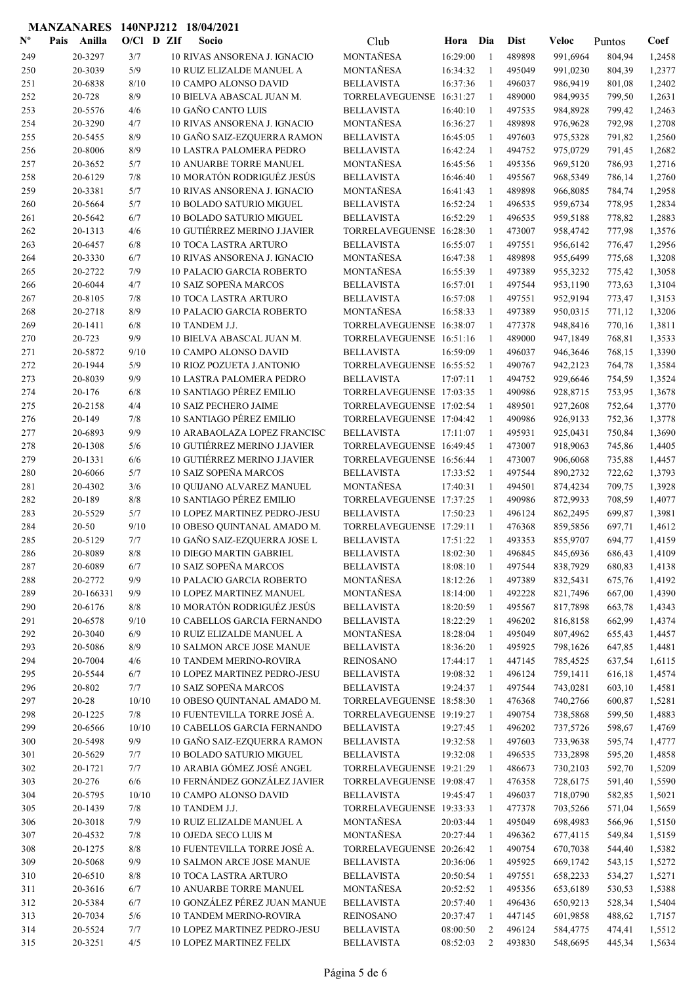| $\mathbf{N}^{\mathbf{o}}$ | Pais | Anilla             | $O/CI$ D ZIf |  | Socio                                                 | Club                                          | Hora     | Dia               | <b>Dist</b>      | Veloc                | Puntos           | Coef             |
|---------------------------|------|--------------------|--------------|--|-------------------------------------------------------|-----------------------------------------------|----------|-------------------|------------------|----------------------|------------------|------------------|
| 249                       |      | 20-3297            | 3/7          |  | 10 RIVAS ANSORENA J. IGNACIO                          | <b>MONTAÑESA</b>                              | 16:29:00 | $\mathbf{1}$      | 489898           | 991,6964             | 804,94           | 1,2458           |
| 250                       |      | 20-3039            | 5/9          |  | <b>10 RUIZ ELIZALDE MANUEL A</b>                      | MONTAÑESA                                     | 16:34:32 | $\mathbf{1}$      | 495049           | 991,0230             | 804,39           | 1,2377           |
| 251                       |      | 20-6838            | 8/10         |  | 10 CAMPO ALONSO DAVID                                 | <b>BELLAVISTA</b>                             | 16:37:36 | $\mathbf{1}$      | 496037           | 986,9419             | 801,08           | 1,2402           |
| 252                       |      | 20-728             | 8/9          |  | 10 BIELVA ABASCAL JUAN M.                             | TORRELAVEGUENSE 16:31:27                      |          | -1                | 489000           | 984,9935             | 799,50           | 1,2631           |
| 253                       |      | 20-5576            | 4/6          |  | 10 GAÑO CANTO LUIS                                    | <b>BELLAVISTA</b>                             | 16:40:10 | $\mathbf{1}$      | 497535           | 984,8928             | 799,42           | 1,2463           |
| 254                       |      | 20-3290            | 4/7          |  | 10 RIVAS ANSORENA J. IGNACIO                          | MONTAÑESA                                     | 16:36:27 | 1                 | 489898           | 976,9628             | 792,98           | 1,2708           |
| 255                       |      | 20-5455            | 8/9          |  | 10 GAÑO SAIZ-EZQUERRA RAMON                           | <b>BELLAVISTA</b>                             | 16:45:05 | 1                 | 497603           | 975,5328             | 791,82           | 1,2560           |
| 256                       |      | 20-8006            | 8/9          |  | <b>10 LASTRA PALOMERA PEDRO</b>                       | <b>BELLAVISTA</b>                             | 16:42:24 | $\mathbf{1}$      | 494752           | 975,0729             | 791,45           | 1,2682           |
| 257                       |      | 20-3652            | 5/7          |  | <b>10 ANUARBE TORRE MANUEL</b>                        | MONTAÑESA                                     | 16:45:56 | 1                 | 495356           | 969,5120             | 786,93           | 1,2716           |
| 258                       |      | 20-6129            | 7/8          |  | 10 MORATÓN RODRIGUÉZ JESÚS                            | <b>BELLAVISTA</b>                             | 16:46:40 | -1                | 495567           | 968,5349             | 786,14           | 1,2760           |
| 259                       |      | 20-3381            | 5/7          |  | 10 RIVAS ANSORENA J. IGNACIO                          | <b>MONTAÑESA</b>                              | 16:41:43 | $\mathbf{1}$      | 489898           | 966,8085             | 784,74           | 1,2958           |
| 260                       |      | 20-5664            | 5/7          |  | <b>10 BOLADO SATURIO MIGUEL</b>                       | <b>BELLAVISTA</b>                             | 16:52:24 | $\mathbf{1}$      | 496535           | 959,6734             | 778,95           | 1,2834           |
| 261                       |      | 20-5642            | 6/7          |  | 10 BOLADO SATURIO MIGUEL                              | <b>BELLAVISTA</b>                             | 16:52:29 | $\mathbf{1}$      | 496535           | 959,5188             | 778,82           | 1,2883           |
| 262                       |      | 20-1313            | 4/6          |  | 10 GUTIÉRREZ MERINO J.JAVIER                          | TORRELAVEGUENSE 16:28:30                      |          | $\mathbf{1}$      | 473007           | 958,4742             | 777,98           | 1,3576           |
| 263                       |      | 20-6457            | 6/8          |  | <b>10 TOCA LASTRA ARTURO</b>                          | <b>BELLAVISTA</b>                             | 16:55:07 | $\mathbf{1}$      | 497551           | 956,6142             | 776,47           | 1,2956           |
| 264                       |      | 20-3330            | 6/7          |  | 10 RIVAS ANSORENA J. IGNACIO                          | MONTAÑESA                                     | 16:47:38 | $\mathbf{1}$      | 489898           | 955,6499             | 775,68           | 1,3208           |
| 265                       |      | 20-2722            | 7/9          |  | 10 PALACIO GARCIA ROBERTO                             | MONTAÑESA                                     | 16:55:39 | $\mathbf{1}$<br>1 | 497389           | 955,3232<br>953,1190 | 775,42           | 1,3058           |
| 266                       |      | 20-6044            | 4/7          |  | 10 SAIZ SOPEÑA MARCOS                                 | <b>BELLAVISTA</b>                             | 16:57:01 |                   | 497544           |                      | 773,63           | 1,3104           |
| 267                       |      | 20-8105            | 7/8<br>8/9   |  | <b>10 TOCA LASTRA ARTURO</b>                          | <b>BELLAVISTA</b>                             | 16:57:08 | 1<br>$\mathbf{1}$ | 497551<br>497389 | 952,9194             | 773,47           | 1,3153           |
| 268<br>269                |      | 20-2718<br>20-1411 | 6/8          |  | 10 PALACIO GARCIA ROBERTO<br>10 TANDEM J.J.           | MONTAÑESA<br>TORRELAVEGUENSE 16:38:07         | 16:58:33 | 1                 | 477378           | 950,0315<br>948,8416 | 771,12           | 1,3206<br>1,3811 |
| 270                       |      | 20-723             | 9/9          |  | 10 BIELVA ABASCAL JUAN M.                             | TORRELAVEGUENSE 16:51:16                      |          | -1                | 489000           | 947,1849             | 770,16<br>768,81 | 1,3533           |
|                           |      | 20-5872            | 9/10         |  |                                                       | <b>BELLAVISTA</b>                             | 16:59:09 | $\mathbf{1}$      |                  |                      |                  |                  |
| 271                       |      | 20-1944            | 5/9          |  | <b>10 CAMPO ALONSO DAVID</b>                          | TORRELAVEGUENSE 16:55:52                      |          | $\mathbf{1}$      | 496037           | 946,3646             | 768,15           | 1,3390           |
| 272<br>273                |      | 20-8039            | 9/9          |  | 10 RIOZ POZUETA J.ANTONIO<br>10 LASTRA PALOMERA PEDRO |                                               | 17:07:11 | 1                 | 490767<br>494752 | 942,2123<br>929,6646 | 764,78           | 1,3584<br>1,3524 |
| 274                       |      | 20-176             | 6/8          |  | 10 SANTIAGO PÉREZ EMILIO                              | <b>BELLAVISTA</b><br>TORRELAVEGUENSE 17:03:35 |          | $\mathbf{1}$      | 490986           | 928,8715             | 754,59           | 1,3678           |
| 275                       |      | 20-2158            | 4/4          |  | <b>10 SAIZ PECHERO JAIME</b>                          | TORRELAVEGUENSE 17:02:54                      |          | $\mathbf{1}$      | 489501           | 927,2608             | 753,95<br>752,64 | 1,3770           |
| 276                       |      | 20-149             | 7/8          |  | 10 SANTIAGO PÉREZ EMILIO                              | TORRELAVEGUENSE 17:04:42                      |          | $\mathbf{1}$      | 490986           | 926,9133             | 752,36           | 1,3778           |
| 277                       |      | 20-6893            | 9/9          |  | 10 ARABAOLAZA LOPEZ FRANCISC                          | <b>BELLAVISTA</b>                             | 17:11:07 | $\mathbf{1}$      | 495931           | 925,0431             | 750,84           | 1,3690           |
| 278                       |      | 20-1308            | 5/6          |  | 10 GUTIÉRREZ MERINO J.JAVIER                          | TORRELAVEGUENSE 16:49:45                      |          | $\mathbf{1}$      | 473007           | 918,9063             | 745,86           | 1,4405           |
| 279                       |      | 20-1331            | 6/6          |  | 10 GUTIÉRREZ MERINO J.JAVIER                          | TORRELAVEGUENSE 16:56:44                      |          | $\mathbf{1}$      | 473007           | 906,6068             | 735,88           | 1,4457           |
| 280                       |      | 20-6066            | 5/7          |  | 10 SAIZ SOPEÑA MARCOS                                 | <b>BELLAVISTA</b>                             | 17:33:52 | -1                | 497544           | 890,2732             | 722,62           | 1,3793           |
| 281                       |      | 20-4302            | 3/6          |  | 10 QUIJANO ALVAREZ MANUEL                             | MONTAÑESA                                     | 17:40:31 | $\mathbf{1}$      | 494501           | 874,4234             | 709,75           | 1,3928           |
| 282                       |      | 20-189             | 8/8          |  | 10 SANTIAGO PÉREZ EMILIO                              | TORRELAVEGUENSE 17:37:25                      |          | 1                 | 490986           | 872,9933             | 708,59           | 1,4077           |
| 283                       |      | 20-5529            | 5/7          |  | 10 LOPEZ MARTINEZ PEDRO-JESU                          | <b>BELLAVISTA</b>                             | 17:50:23 | 1                 | 496124           | 862,2495             | 699,87           | 1,3981           |
| 284                       |      | $20 - 50$          | 9/10         |  | 10 OBESO QUINTANAL AMADO M.                           | TORRELAVEGUENSE 17:29:11                      |          | $\mathbf{1}$      | 476368           | 859,5856             | 697,71           | 1,4612           |
| 285                       |      | 20-5129            | 7/7          |  | 10 GAÑO SAIZ-EZQUERRA JOSE L                          | <b>BELLAVISTA</b>                             | 17:51:22 | $\mathbf{1}$      | 493353           | 855,9707             | 694,77           | 1,4159           |
| 286                       |      | 20-8089            | 8/8          |  | 10 DIEGO MARTIN GABRIEL                               | <b>BELLAVISTA</b>                             | 18:02:30 | $\mathbf{1}$      | 496845           | 845,6936             | 686,43           | 1,4109           |
| 287                       |      | 20-6089            | 6/7          |  | 10 SAIZ SOPEÑA MARCOS                                 | <b>BELLAVISTA</b>                             | 18:08:10 | -1                | 497544           | 838,7929             | 680,83           | 1,4138           |
| 288                       |      | 20-2772            | 9/9          |  | 10 PALACIO GARCIA ROBERTO                             | MONTAÑESA                                     | 18:12:26 | 1                 | 497389           | 832,5431             | 675,76           | 1,4192           |
| 289                       |      | 20-166331          | 9/9          |  | 10 LOPEZ MARTINEZ MANUEL                              | MONTAÑESA                                     | 18:14:00 | $\mathbf{1}$      | 492228           | 821,7496             | 667,00           | 1,4390           |
| 290                       |      | 20-6176            | 8/8          |  | 10 MORATÓN RODRIGUÉZ JESÚS                            | <b>BELLAVISTA</b>                             | 18:20:59 | -1                | 495567           | 817,7898             | 663,78           | 1,4343           |
| 291                       |      | 20-6578            | 9/10         |  | <b>10 CABELLOS GARCIA FERNANDO</b>                    | <b>BELLAVISTA</b>                             | 18:22:29 | $\mathbf{1}$      | 496202           | 816,8158             | 662,99           | 1,4374           |
| 292                       |      | 20-3040            | $6/9$        |  | 10 RUIZ ELIZALDE MANUEL A                             | MONTAÑESA                                     | 18:28:04 | $\mathbf{1}$      | 495049           | 807,4962             | 655,43           | 1,4457           |
| 293                       |      | 20-5086            | 8/9          |  | 10 SALMON ARCE JOSE MANUE                             | <b>BELLAVISTA</b>                             | 18:36:20 | $\mathbf{1}$      | 495925           | 798,1626             | 647,85           | 1,4481           |
| 294                       |      | 20-7004            | 4/6          |  | <b>10 TANDEM MERINO-ROVIRA</b>                        | <b>REINOSANO</b>                              | 17:44:17 | -1                | 447145           | 785,4525             | 637,54           | 1,6115           |
| 295                       |      | 20-5544            | 6/7          |  | 10 LOPEZ MARTINEZ PEDRO-JESU                          | <b>BELLAVISTA</b>                             | 19:08:32 | -1                | 496124           | 759,1411             | 616,18           | 1,4574           |
| 296                       |      | 20-802             | 7/7          |  | 10 SAIZ SOPEÑA MARCOS                                 | <b>BELLAVISTA</b>                             | 19:24:37 | -1                | 497544           | 743,0281             | 603,10           | 1,4581           |
| 297                       |      | $20 - 28$          | 10/10        |  | 10 OBESO QUINTANAL AMADO M.                           | TORRELAVEGUENSE 18:58:30                      |          | 1                 | 476368           | 740,2766             | 600,87           | 1,5281           |
| 298                       |      | 20-1225            | 7/8          |  | 10 FUENTEVILLA TORRE JOSÉ A.                          | TORRELAVEGUENSE 19:19:27                      |          | $\mathbf{1}$      | 490754           | 738,5868             | 599,50           | 1,4883           |
| 299                       |      | 20-6566            | 10/10        |  | 10 CABELLOS GARCIA FERNANDO                           | <b>BELLAVISTA</b>                             | 19:27:45 | -1                | 496202           | 737,5726             | 598,67           | 1,4769           |
| 300                       |      | 20-5498            | 9/9          |  | 10 GAÑO SAIZ-EZQUERRA RAMON                           | <b>BELLAVISTA</b>                             | 19:32:58 | -1                | 497603           | 733,9638             | 595,74           | 1,4777           |
| 301                       |      | 20-5629            | 7/7          |  | 10 BOLADO SATURIO MIGUEL                              | <b>BELLAVISTA</b>                             | 19:32:08 | $\mathbf{1}$      | 496535           | 733,2898             | 595,20           | 1,4858           |
| 302                       |      | 20-1721            | 7/7          |  | 10 ARABIA GÓMEZ JOSÉ ANGEL                            | TORRELAVEGUENSE 19:21:29                      |          | $\mathbf{1}$      | 486673           | 730,2103             | 592,70           | 1,5209           |
| 303                       |      | 20-276             | 6/6          |  | 10 FERNÁNDEZ GONZÁLEZ JAVIER                          | TORRELAVEGUENSE 19:08:47                      |          | $\mathbf{1}$      | 476358           | 728,6175             | 591,40           | 1,5590           |
| 304                       |      | 20-5795            | 10/10        |  | 10 CAMPO ALONSO DAVID                                 | <b>BELLAVISTA</b>                             | 19:45:47 | -1                | 496037           | 718,0790             | 582,85           | 1,5021           |
| 305                       |      | 20-1439            | 7/8          |  | 10 TANDEM J.J.                                        | TORRELAVEGUENSE 19:33:33                      |          | 1                 | 477378           | 703,5266             | 571,04           | 1,5659           |
| 306                       |      | 20-3018            | 7/9          |  | 10 RUIZ ELIZALDE MANUEL A                             | MONTAÑESA                                     | 20:03:44 | -1                | 495049           | 698,4983             | 566,96           | 1,5150           |
| 307                       |      | 20-4532            | 7/8          |  | 10 OJEDA SECO LUIS M                                  | MONTAÑESA                                     | 20:27:44 | $\mathbf{1}$      | 496362           | 677,4115             | 549,84           | 1,5159           |
| 308                       |      | 20-1275            | 8/8          |  | 10 FUENTEVILLA TORRE JOSÉ A.                          | TORRELAVEGUENSE 20:26:42                      |          | 1                 | 490754           | 670,7038             | 544,40           | 1,5382           |
| 309                       |      | 20-5068            | 9/9          |  | 10 SALMON ARCE JOSE MANUE                             | <b>BELLAVISTA</b>                             | 20:36:06 | -1                | 495925           | 669,1742             | 543,15           | 1,5272           |
| 310                       |      | 20-6510            | 8/8          |  | <b>10 TOCA LASTRA ARTURO</b>                          | <b>BELLAVISTA</b>                             | 20:50:54 | 1                 | 497551           | 658,2233             | 534,27           | 1,5271           |
| 311                       |      | 20-3616            | 6/7          |  | <b>10 ANUARBE TORRE MANUEL</b>                        | MONTAÑESA                                     | 20:52:52 | $\mathbf{1}$      | 495356           | 653,6189             | 530,53           | 1,5388           |
| 312                       |      | 20-5384            | 6/7          |  | 10 GONZÁLEZ PÉREZ JUAN MANUE                          | <b>BELLAVISTA</b>                             | 20:57:40 | $\mathbf{1}$      | 496436           | 650,9213             | 528,34           | 1,5404           |
| 313                       |      | 20-7034            | 5/6          |  | <b>10 TANDEM MERINO-ROVIRA</b>                        | <b>REINOSANO</b>                              | 20:37:47 | $\mathbf{1}$      | 447145           | 601,9858             | 488,62           | 1,7157           |
| 314                       |      | 20-5524            | 7/7          |  | 10 LOPEZ MARTINEZ PEDRO-JESU                          | <b>BELLAVISTA</b>                             | 08:00:50 | 2                 | 496124           | 584,4775             | 474,41           | 1,5512           |
| 315                       |      | 20-3251            | 4/5          |  | <b>10 LOPEZ MARTINEZ FELIX</b>                        | <b>BELLAVISTA</b>                             | 08:52:03 | 2                 | 493830           | 548,6695             | 445,34           | 1,5634           |